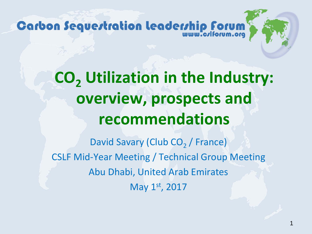## **CO<sub>2</sub>** Utilization in the Industry: **overview, prospects and recommendations**

David Savary (Club CO<sub>2</sub> / France) CSLF Mid-Year Meeting / Technical Group Meeting Abu Dhabi, United Arab Emirates May 1st, 2017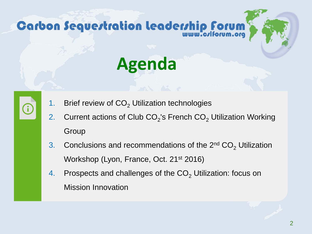

1. Brief review of  $CO<sub>2</sub>$  Utilization technologies

G

- 2. Current actions of Club  $CO<sub>2</sub>$ 's French  $CO<sub>2</sub>$  Utilization Working Group
- 3. Conclusions and recommendations of the  $2^{nd}$  CO<sub>2</sub> Utilization Workshop (Lyon, France, Oct. 21<sup>st</sup> 2016)
- 4. Prospects and challenges of the  $CO<sub>2</sub>$  Utilization: focus on Mission Innovation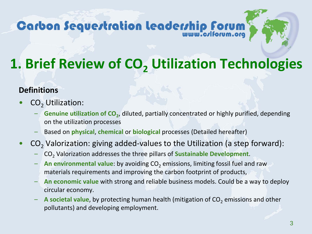### **1. Brief Review of CO<sub>2</sub> Utilization Technologies**

#### **Definitions**

- $CO<sub>2</sub>$  Utilization:
	- Genuine utilization of CO<sub>2</sub>, diluted, partially concentrated or highly purified, depending on the utilization processes
	- Based on **physical**, **chemical** or **biological** processes (Detailed hereafter)
- $CO<sub>2</sub>$  Valorization: giving added-values to the Utilization (a step forward):
	- CO2 Valorization addresses the three pillars of **Sustainable Development**.
	- $-$  **An environmental value**: by avoiding CO<sub>2</sub> emissions, limiting fossil fuel and raw materials requirements and improving the carbon footprint of products,
	- **An economic value** with strong and reliable business models. Could be a way to deploy circular economy.
	- A societal value, by protecting human health (mitigation of CO<sub>2</sub> emissions and other pollutants) and developing employment.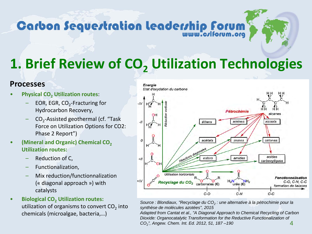### **1. Brief Review of CO<sub>2</sub> Utilization Technologies**

#### **Processes**

- **Physical CO2 Utilization routes**:
	- EOR, EGR,  $CO<sub>2</sub>$ -Fracturing for Hydrocarbon Recovery,
	- $CO<sub>2</sub>$ -Assisted geothermal (cf. "Task Force on Utilization Options for CO2: Phase 2 Report")
- **(Mineral and Organic) Chemical CO2 Utilization routes:**
	- Reduction of C,
	- Functionalization,
	- Mix reduction/functionnalization (« diagonal approach ») with catalysts
- **Biological CO2 Utilization routes:**  utilization of organisms to convert  $CO<sub>2</sub>$  into chemicals (microalgae, bacteria,…)



*Source : Blondiaux, "Recyclage du CO2 : une alternative à la pétrochimie pour la synthèse de molécules azotées", 2015*

4 *Adapted from Cantat et al., "A Diagonal Approach to Chemical Recycling of Carbon Dioxide: Organocatalytic Transformation for the Reductive Functionalization of CO2", Angew. Chem. Int. Ed. 2012, 51, 187 –190*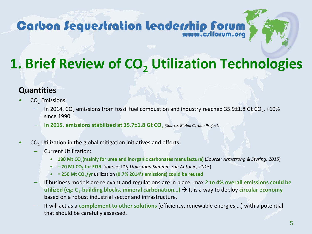### **1. Brief Review of CO<sub>2</sub> Utilization Technologies**

#### **Quantities**

- CO<sub>2</sub> Emissions:
	- In 2014, CO<sub>2</sub> emissions from fossil fuel combustion and industry reached 35.9 $\pm$ 1.8 Gt CO<sub>2</sub>, +60% since 1990.
	- **In 2015, emissions stabilized at 35.7±1.8 Gt CO<sub>2</sub>** *(Source: Global Carbon Project)*
- CO<sub>2</sub> Utilization in the global mitigation initiatives and efforts:
	- Current Utilization:
		- **180 Mt CO2(mainly for urea and inorganic carbonates manufacture)** (*Source: Armstrong & Styring, 2015*)
		- **+ 70 Mt CO<sub>2</sub> for EOR (Source: CO<sub>2</sub> Utilization Summit, San Antonio, 2015)**
		- **= 250 Mt CO2/yr** utilization **(0.7% 2014's emissions) could be reused**
	- If business models are relevant and regulations are in place: max **2 to 4% overall emissions could be utilized (eg: C<sub>1</sub>-building blocks, mineral carbonation...)**  $\rightarrow$  **It is a way to deploy circular economy** based on a robust industrial sector and infrastructure.
	- It will act as a **complement to other solutions** (efficiency, renewable energies,…) with a potential that should be carefully assessed.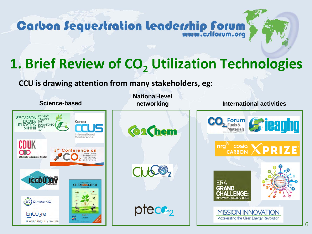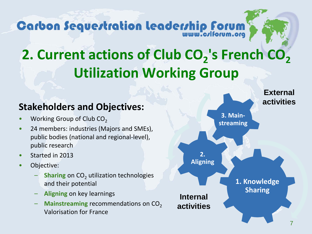### **2. Current actions of Club CO<sub>2</sub>'s French CO<sub>2</sub> Utilization Working Group**

#### **Stakeholders and Objectives:**

- Working Group of Club CO<sub>2</sub>
- 24 members: industries (Majors and SMEs), public bodies (national and regional-level), public research
- Started in 2013
- Objective:
	- **Sharing** on CO<sub>2</sub> utilization technologies and their potential
	- **Aligning** on key learnings
	- Mainstreaming recommendations on CO<sub>2</sub> Valorisation for France

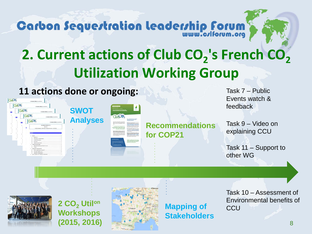### **2. Current actions of Club CO<sub>2</sub>'s French CO<sub>2</sub> Utilization Working Group**

#### **11 actions done or ongoing:**





2 CO<sub>2</sub> Utilon **Workshops (2015, 2016)**



**Mapping of Stakeholders**

Task 10 – Assessment of Environmental benefits of **CCU** 

Task 7 – Public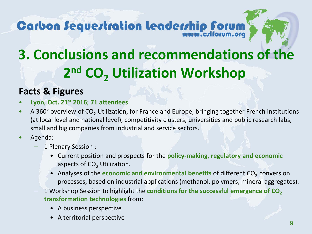## **3. Conclusions and recommendations of the 2<sup>nd</sup> CO<sub>2</sub> Utilization Workshop**

#### **Facts & Figures**

- **Lyon, Oct. 21st 2016; 71 attendees**
- A 360° overview of CO<sub>2</sub> Utilization, for France and Europe, bringing together French institutions (at local level and national level), competitivity clusters, universities and public research labs, small and big companies from industrial and service sectors.
- Agenda:
	- 1 Plenary Session :
		- Current position and prospects for the **policy-making, regulatory and economic**  aspects of  $CO<sub>2</sub>$  Utilization.
		- Analyses of the **economic and environmental benefits** of different CO<sub>2</sub> conversion processes, based on industrial applications (methanol, polymers, mineral aggregates).
	- 1 Workshop Session to highlight the **conditions for the successful emergence of CO**<sub>2</sub> **transformation technologies** from:
		- A business perspective
		- A territorial perspective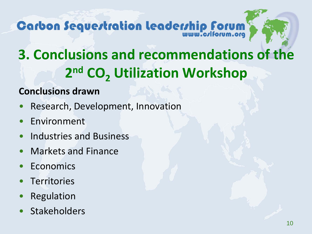## **3. Conclusions and recommendations of the 2<sup>nd</sup> CO<sub>2</sub> Utilization Workshop**

#### **Conclusions drawn**

- Research, Development, Innovation
- **Environment**
- Industries and Business
- Markets and Finance
- **Economics**
- **Territories**
- **Regulation**
- **Stakeholders**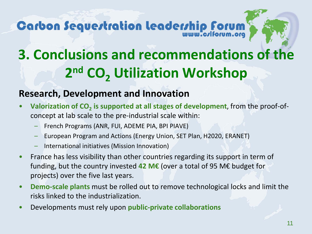## **3. Conclusions and recommendations of the 2<sup>nd</sup> CO<sub>2</sub> Utilization Workshop**

#### **Research, Development and Innovation**

- **Valorization of CO2 is supported at all stages of development**, from the proof-ofconcept at lab scale to the pre-industrial scale within:
	- French Programs (ANR, FUI, ADEME PIA, BPI PIAVE)
	- European Program and Actions (Energy Union, SET Plan, H2020, ERANET)
	- International initiatives (Mission Innovation)
- France has less visibility than other countries regarding its support in term of funding, but the country invested **42 M€** (over a total of 95 M€ budget for projects) over the five last years.
- **Demo-scale plants** must be rolled out to remove technological locks and limit the risks linked to the industrialization.
- Developments must rely upon **public-private collaborations**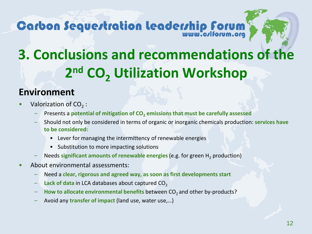

#### **Environment**

- Valorization of  $CO<sub>2</sub>$ :
	- Presents a **potential of mitigation of CO<sub>2</sub> emissions that must be carefully assessed**
	- Should not only be considered in terms of organic or inorganic chemicals production: **services have to be considered:**
		- Lever for managing the intermittency of renewable energies
		- Substitution to more impacting solutions
	- Needs **significant amounts of renewable energies** (e.g. for green H2 production)
- About environmental assessments:
	- Need a **clear, rigorous and agreed way, as soon as first developments start**
	- Lack of data in LCA databases about captured CO<sub>2</sub>
	- How to allocate environmental benefits between CO<sub>2</sub> and other by-products?
	- Avoid any **transfer of impact** (land use, water use,…)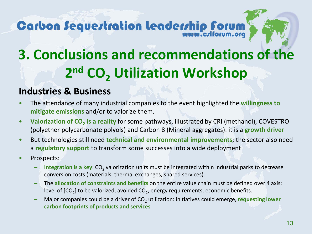## **3. Conclusions and recommendations of the 2<sup>nd</sup> CO<sub>2</sub> Utilization Workshop**

#### **Industries & Business**

- The attendance of many industrial companies to the event highlighted the **willingness to mitigate emissions** and/or to valorize them.
- Valorization of CO<sub>2</sub> is a reality for some pathways, illustrated by CRI (methanol), COVESTRO (polyether polycarbonate polyols) and Carbon 8 (Mineral aggregates): it is a **growth driver**
- But technologies still need **technical and environmental improvements**; the sector also need a **regulatory support** to transform some successes into a wide deployment
- Prospects:
	- **Integration is a key:** CO<sub>2</sub> valorization units must be integrated within industrial parks to decrease conversion costs (materials, thermal exchanges, shared services).
	- The **allocation of constraints and benefits** on the entire value chain must be defined over 4 axis: level of  $[CO<sub>2</sub>]$  to be valorized, avoided  $CO<sub>2</sub>$ , energy requirements, economic benefits.
	- Major companies could be a driver of CO2 utilization: initiatives could emerge, **requesting lower carbon footprints of products and services**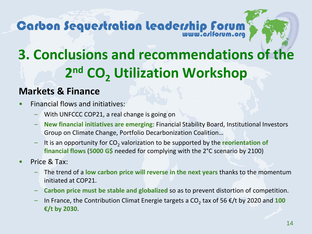## **3. Conclusions and recommendations of the 2<sup>nd</sup> CO<sub>2</sub> Utilization Workshop**

#### **Markets & Finance**

- Financial flows and initiatives:
	- With UNFCCC COP21, a real change is going on
	- **New financial initiatives are emerging**: Financial Stability Board, Institutional Investors Group on Climate Change, Portfolio Decarbonization Coalition…
	- It is an opportunity for CO<sub>2</sub> valorization to be supported by the **reorientation of financial flows** (**5000 G\$** needed for complying with the 2°C scenario by 2100)
- Price & Tax:
	- The trend of a **low carbon price will reverse in the next years** thanks to the momentum initiated at COP21.
	- **Carbon price must be stable and globalized** so as to prevent distortion of competition.
	- In France, the Contribution Climat Energie targets a  $CO<sub>2</sub>$  tax of 56  $\epsilon$ /t by 2020 and 100 **€/t by 2030**.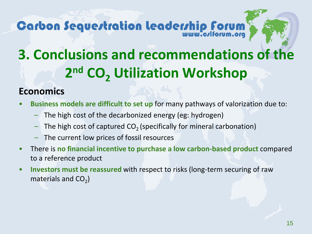## **3. Conclusions and recommendations of the 2<sup>nd</sup> CO<sub>2</sub> Utilization Workshop**

#### **Economics**

- **Business models are difficult to set up** for many pathways of valorization due to:
	- The high cost of the decarbonized energy (eg: hydrogen)
	- The high cost of captured  $CO<sub>2</sub>$  (specifically for mineral carbonation)
	- The current low prices of fossil resources
- There is **no financial incentive to purchase a low carbon-based product** compared to a reference product
- **Investors must be reassured** with respect to risks (long-term securing of raw materials and  $CO<sub>2</sub>$ )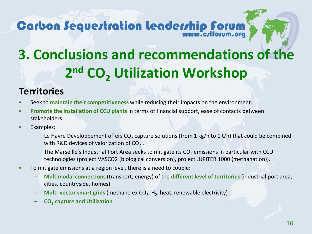

#### **Territories**

- Seek to **maintain their competitiveness** while reducing their impacts on the environment.
- **Promote the installation of CCU plants** in terms of financial support, ease of contacts between stakeholders.
- Examples:
	- Le Havre Développement offers  $CO<sub>2</sub>$  capture solutions (from 1 kg/h to 1 t/h) that could be combined with R&D devices of valorization of  $CO<sub>2</sub>$ .
	- The Marseille's Industrial Port Area seeks to mitigate its CO<sub>2</sub> emissions in particular with CCU technologies (project VASCO2 (biological conversion), project JUPITER 1000 (methanation)).
- To mitigate emissions at a region level, there is a need to couple:
	- **Multimodal connections** (transport, energy) of the **different level of territories** (industrial port area, cities, countryside, homes)
	- **Multi-vector smart grids** (methane ex CO<sub>2</sub>, H<sub>2</sub>, heat, renewable electricity)
	- **CO2 capture and Utilization**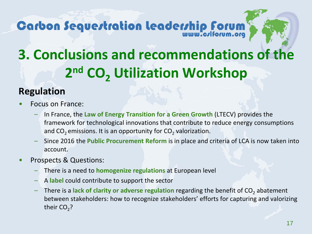## **3. Conclusions and recommendations of the 2<sup>nd</sup> CO<sub>2</sub> Utilization Workshop**

#### **Regulation**

- Focus on France:
	- In France, the **Law of Energy Transition for a Green Growth** (LTECV) provides the framework for technological innovations that contribute to reduce energy consumptions and  $CO<sub>2</sub>$  emissions. It is an opportunity for  $CO<sub>2</sub>$  valorization.
	- Since 2016 the **Public Procurement Reform** is in place and criteria of LCA is now taken into account.
- Prospects & Questions:
	- There is a need to **homogenize regulations** at European level
	- A **label** could contribute to support the sector
	- There is a **lack of clarity or adverse regulation** regarding the benefit of CO<sub>2</sub> abatement between stakeholders: how to recognize stakeholders' efforts for capturing and valorizing their  $CO<sub>2</sub>$ ?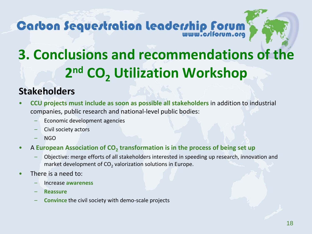

#### **Stakeholders**

- **CCU projects must include as soon as possible all stakeholders** in addition to industrial companies, public research and national-level public bodies:
	- Economic development agencies
	- Civil society actors
	- NGO
- A European Association of CO<sub>2</sub> transformation is in the process of being set up
	- Objective: merge efforts of all stakeholders interested in speeding up research, innovation and market development of  $CO<sub>2</sub>$  valorization solutions in Europe.
- There is a need to:
	- Increase **awareness**
	- **Reassure**
	- **Convince** the civil society with demo-scale projects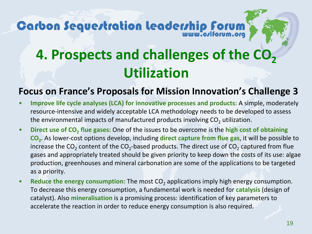### **4. Prospects and challenges of the CO<sub>2</sub> Utilization**

#### **Focus on France's Proposals for Mission Innovation's Challenge 3**

- **Improve life cycle analyses (LCA) for innovative processes and products:** A simple, moderately resource-intensive and widely acceptable LCA methodology needs to be developed to assess the environmental impacts of manufactured products involving  $CO<sub>2</sub>$  utilization.
- Direct use of CO<sub>2</sub> flue gases: One of the issues to be overcome is the high cost of obtaining **CO2**. As lower-cost options develop, including **direct capture from flue gas**, it will be possible to increase the  $CO<sub>2</sub>$  content of the  $CO<sub>2</sub>$ -based products. The direct use of  $CO<sub>2</sub>$  captured from flue gases and appropriately treated should be given priority to keep down the costs of its use: algae production, greenhouses and mineral carbonation are some of the applications to be targeted as a priority.
- **Reduce the energy consumption:** The most CO<sub>2</sub> applications imply high energy consumption. To decrease this energy consumption, a fundamental work is needed for **catalysis** (design of catalyst). Also **mineralisation** is a promising process: identification of key parameters to accelerate the reaction in order to reduce energy consumption is also required.